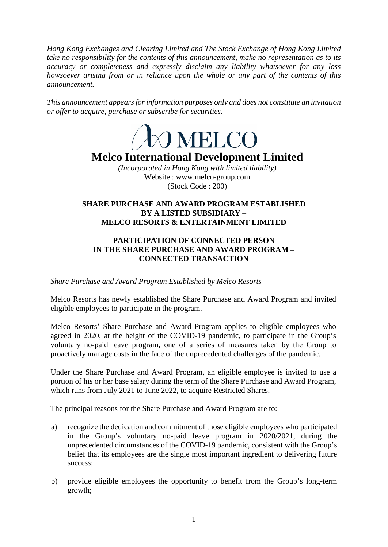*Hong Kong Exchanges and Clearing Limited and The Stock Exchange of Hong Kong Limited take no responsibility for the contents of this announcement, make no representation as to its accuracy or completeness and expressly disclaim any liability whatsoever for any loss howsoever arising from or in reliance upon the whole or any part of the contents of this announcement.*

*This announcement appears for information purposes only and does not constitute an invitation or offer to acquire, purchase or subscribe for securities.*



# **Melco International Development Limited**

*(Incorporated in Hong Kong with limited liability)* Website : www.melco-group.com (Stock Code : 200)

# **SHARE PURCHASE AND AWARD PROGRAM ESTABLISHED BY A LISTED SUBSIDIARY – MELCO RESORTS & ENTERTAINMENT LIMITED**

# **PARTICIPATION OF CONNECTED PERSON IN THE SHARE PURCHASE AND AWARD PROGRAM – CONNECTED TRANSACTION**

*Share Purchase and Award Program Established by Melco Resorts*

Melco Resorts has newly established the Share Purchase and Award Program and invited eligible employees to participate in the program.

Melco Resorts' Share Purchase and Award Program applies to eligible employees who agreed in 2020, at the height of the COVID-19 pandemic, to participate in the Group's voluntary no-paid leave program, one of a series of measures taken by the Group to proactively manage costs in the face of the unprecedented challenges of the pandemic.

Under the Share Purchase and Award Program, an eligible employee is invited to use a portion of his or her base salary during the term of the Share Purchase and Award Program, which runs from July 2021 to June 2022, to acquire Restricted Shares.

The principal reasons for the Share Purchase and Award Program are to:

- a) recognize the dedication and commitment of those eligible employees who participated in the Group's voluntary no-paid leave program in 2020/2021, during the unprecedented circumstances of the COVID-19 pandemic, consistent with the Group's belief that its employees are the single most important ingredient to delivering future success;
- b) provide eligible employees the opportunity to benefit from the Group's long-term growth;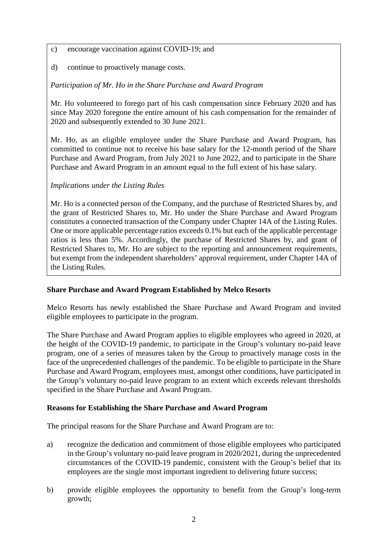- c) encourage vaccination against COVID-19; and
- d) continue to proactively manage costs.

*Participation of Mr. Ho in the Share Purchase and Award Program*

Mr. Ho volunteered to forego part of his cash compensation since February 2020 and has since May 2020 foregone the entire amount of his cash compensation for the remainder of 2020 and subsequently extended to 30 June 2021.

Mr. Ho, as an eligible employee under the Share Purchase and Award Program, has committed to continue not to receive his base salary for the 12-month period of the Share Purchase and Award Program, from July 2021 to June 2022, and to participate in the Share Purchase and Award Program in an amount equal to the full extent of his base salary.

# *Implications under the Listing Rules*

Mr. Ho is a connected person of the Company, and the purchase of Restricted Shares by, and the grant of Restricted Shares to, Mr. Ho under the Share Purchase and Award Program constitutes a connected transaction of the Company under Chapter 14A of the Listing Rules. One or more applicable percentage ratios exceeds 0.1% but each of the applicable percentage ratios is less than 5%. Accordingly, the purchase of Restricted Shares by, and grant of Restricted Shares to, Mr. Ho are subject to the reporting and announcement requirements, but exempt from the independent shareholders' approval requirement, under Chapter 14A of the Listing Rules.

# **Share Purchase and Award Program Established by Melco Resorts**

Melco Resorts has newly established the Share Purchase and Award Program and invited eligible employees to participate in the program.

The Share Purchase and Award Program applies to eligible employees who agreed in 2020, at the height of the COVID-19 pandemic, to participate in the Group's voluntary no-paid leave program, one of a series of measures taken by the Group to proactively manage costs in the face of the unprecedented challenges of the pandemic. To be eligible to participate in the Share Purchase and Award Program, employees must, amongst other conditions, have participated in the Group's voluntary no-paid leave program to an extent which exceeds relevant thresholds specified in the Share Purchase and Award Program.

# **Reasons for Establishing the Share Purchase and Award Program**

The principal reasons for the Share Purchase and Award Program are to:

- a) recognize the dedication and commitment of those eligible employees who participated in the Group's voluntary no-paid leave program in 2020/2021, during the unprecedented circumstances of the COVID-19 pandemic, consistent with the Group's belief that its employees are the single most important ingredient to delivering future success;
- b) provide eligible employees the opportunity to benefit from the Group's long-term growth;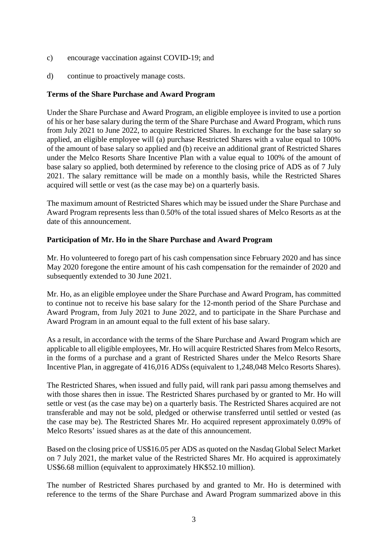- c) encourage vaccination against COVID-19; and
- d) continue to proactively manage costs.

#### **Terms of the Share Purchase and Award Program**

Under the Share Purchase and Award Program, an eligible employee is invited to use a portion of his or her base salary during the term of the Share Purchase and Award Program, which runs from July 2021 to June 2022, to acquire Restricted Shares. In exchange for the base salary so applied, an eligible employee will (a) purchase Restricted Shares with a value equal to 100% of the amount of base salary so applied and (b) receive an additional grant of Restricted Shares under the Melco Resorts Share Incentive Plan with a value equal to 100% of the amount of base salary so applied, both determined by reference to the closing price of ADS as of 7 July 2021. The salary remittance will be made on a monthly basis, while the Restricted Shares acquired will settle or vest (as the case may be) on a quarterly basis.

The maximum amount of Restricted Shares which may be issued under the Share Purchase and Award Program represents less than 0.50% of the total issued shares of Melco Resorts as at the date of this announcement.

#### **Participation of Mr. Ho in the Share Purchase and Award Program**

Mr. Ho volunteered to forego part of his cash compensation since February 2020 and has since May 2020 foregone the entire amount of his cash compensation for the remainder of 2020 and subsequently extended to 30 June 2021.

Mr. Ho, as an eligible employee under the Share Purchase and Award Program, has committed to continue not to receive his base salary for the 12-month period of the Share Purchase and Award Program, from July 2021 to June 2022, and to participate in the Share Purchase and Award Program in an amount equal to the full extent of his base salary.

As a result, in accordance with the terms of the Share Purchase and Award Program which are applicable to all eligible employees, Mr. Ho will acquire Restricted Shares from Melco Resorts, in the forms of a purchase and a grant of Restricted Shares under the Melco Resorts Share Incentive Plan, in aggregate of 416,016 ADSs (equivalent to 1,248,048 Melco Resorts Shares).

The Restricted Shares, when issued and fully paid, will rank pari passu among themselves and with those shares then in issue. The Restricted Shares purchased by or granted to Mr. Ho will settle or vest (as the case may be) on a quarterly basis. The Restricted Shares acquired are not transferable and may not be sold, pledged or otherwise transferred until settled or vested (as the case may be). The Restricted Shares Mr. Ho acquired represent approximately 0.09% of Melco Resorts' issued shares as at the date of this announcement.

Based on the closing price of US\$16.05 per ADS as quoted on the Nasdaq Global Select Market on 7 July 2021, the market value of the Restricted Shares Mr. Ho acquired is approximately US\$6.68 million (equivalent to approximately HK\$52.10 million).

The number of Restricted Shares purchased by and granted to Mr. Ho is determined with reference to the terms of the Share Purchase and Award Program summarized above in this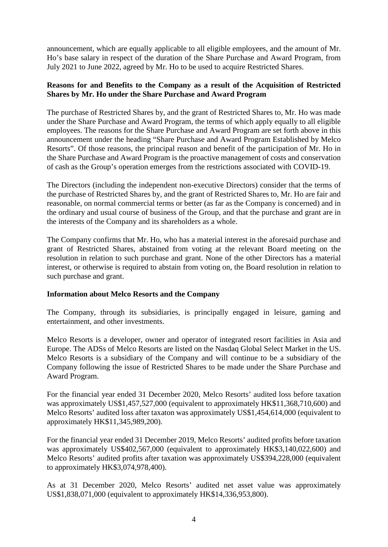announcement, which are equally applicable to all eligible employees, and the amount of Mr. Ho's base salary in respect of the duration of the Share Purchase and Award Program, from July 2021 to June 2022, agreed by Mr. Ho to be used to acquire Restricted Shares.

#### **Reasons for and Benefits to the Company as a result of the Acquisition of Restricted Shares by Mr. Ho under the Share Purchase and Award Program**

The purchase of Restricted Shares by, and the grant of Restricted Shares to, Mr. Ho was made under the Share Purchase and Award Program, the terms of which apply equally to all eligible employees. The reasons for the Share Purchase and Award Program are set forth above in this announcement under the heading "Share Purchase and Award Program Established by Melco Resorts". Of those reasons, the principal reason and benefit of the participation of Mr. Ho in the Share Purchase and Award Program is the proactive management of costs and conservation of cash as the Group's operation emerges from the restrictions associated with COVID-19.

The Directors (including the independent non-executive Directors) consider that the terms of the purchase of Restricted Shares by, and the grant of Restricted Shares to, Mr. Ho are fair and reasonable, on normal commercial terms or better (as far as the Company is concerned) and in the ordinary and usual course of business of the Group, and that the purchase and grant are in the interests of the Company and its shareholders as a whole.

The Company confirms that Mr. Ho, who has a material interest in the aforesaid purchase and grant of Restricted Shares, abstained from voting at the relevant Board meeting on the resolution in relation to such purchase and grant. None of the other Directors has a material interest, or otherwise is required to abstain from voting on, the Board resolution in relation to such purchase and grant.

# **Information about Melco Resorts and the Company**

The Company, through its subsidiaries, is principally engaged in leisure, gaming and entertainment, and other investments.

Melco Resorts is a developer, owner and operator of integrated resort facilities in Asia and Europe. The ADSs of Melco Resorts are listed on the Nasdaq Global Select Market in the US. Melco Resorts is a subsidiary of the Company and will continue to be a subsidiary of the Company following the issue of Restricted Shares to be made under the Share Purchase and Award Program.

For the financial year ended 31 December 2020, Melco Resorts' audited loss before taxation was approximately US\$1,457,527,000 (equivalent to approximately HK\$11,368,710,600) and Melco Resorts' audited loss after taxaton was approximately US\$1,454,614,000 (equivalent to approximately HK\$11,345,989,200).

For the financial year ended 31 December 2019, Melco Resorts' audited profits before taxation was approximately US\$402,567,000 (equivalent to approximately HK\$3,140,022,600) and Melco Resorts' audited profits after taxation was approximately US\$394,228,000 (equivalent to approximately HK\$3,074,978,400).

As at 31 December 2020, Melco Resorts' audited net asset value was approximately US\$1,838,071,000 (equivalent to approximately HK\$14,336,953,800).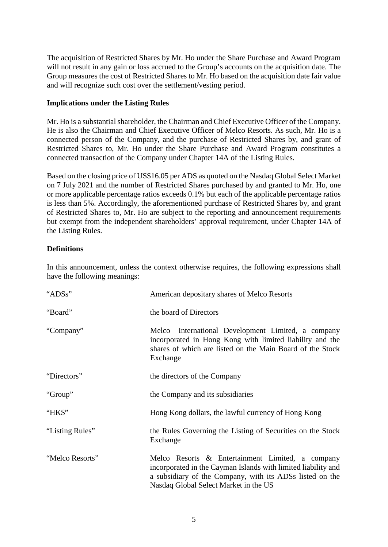The acquisition of Restricted Shares by Mr. Ho under the Share Purchase and Award Program will not result in any gain or loss accrued to the Group's accounts on the acquisition date. The Group measures the cost of Restricted Shares to Mr. Ho based on the acquisition date fair value and will recognize such cost over the settlement/vesting period.

### **Implications under the Listing Rules**

Mr. Ho is a substantial shareholder, the Chairman and Chief Executive Officer of the Company. He is also the Chairman and Chief Executive Officer of Melco Resorts. As such, Mr. Ho is a connected person of the Company, and the purchase of Restricted Shares by, and grant of Restricted Shares to, Mr. Ho under the Share Purchase and Award Program constitutes a connected transaction of the Company under Chapter 14A of the Listing Rules.

Based on the closing price of US\$16.05 per ADS as quoted on the Nasdaq Global Select Market on 7 July 2021 and the number of Restricted Shares purchased by and granted to Mr. Ho, one or more applicable percentage ratios exceeds 0.1% but each of the applicable percentage ratios is less than 5%. Accordingly, the aforementioned purchase of Restricted Shares by, and grant of Restricted Shares to, Mr. Ho are subject to the reporting and announcement requirements but exempt from the independent shareholders' approval requirement, under Chapter 14A of the Listing Rules.

# **Definitions**

In this announcement, unless the context otherwise requires, the following expressions shall have the following meanings:

| "ADSs"          | American depositary shares of Melco Resorts                                                                                                                                                                            |
|-----------------|------------------------------------------------------------------------------------------------------------------------------------------------------------------------------------------------------------------------|
| "Board"         | the board of Directors                                                                                                                                                                                                 |
| "Company"       | Melco International Development Limited, a company<br>incorporated in Hong Kong with limited liability and the<br>shares of which are listed on the Main Board of the Stock<br>Exchange                                |
| "Directors"     | the directors of the Company                                                                                                                                                                                           |
| "Group"         | the Company and its subsidiaries                                                                                                                                                                                       |
| "HK\$"          | Hong Kong dollars, the lawful currency of Hong Kong                                                                                                                                                                    |
| "Listing Rules" | the Rules Governing the Listing of Securities on the Stock<br>Exchange                                                                                                                                                 |
| "Melco Resorts" | Melco Resorts & Entertainment Limited, a company<br>incorporated in the Cayman Islands with limited liability and<br>a subsidiary of the Company, with its ADSs listed on the<br>Nasdaq Global Select Market in the US |